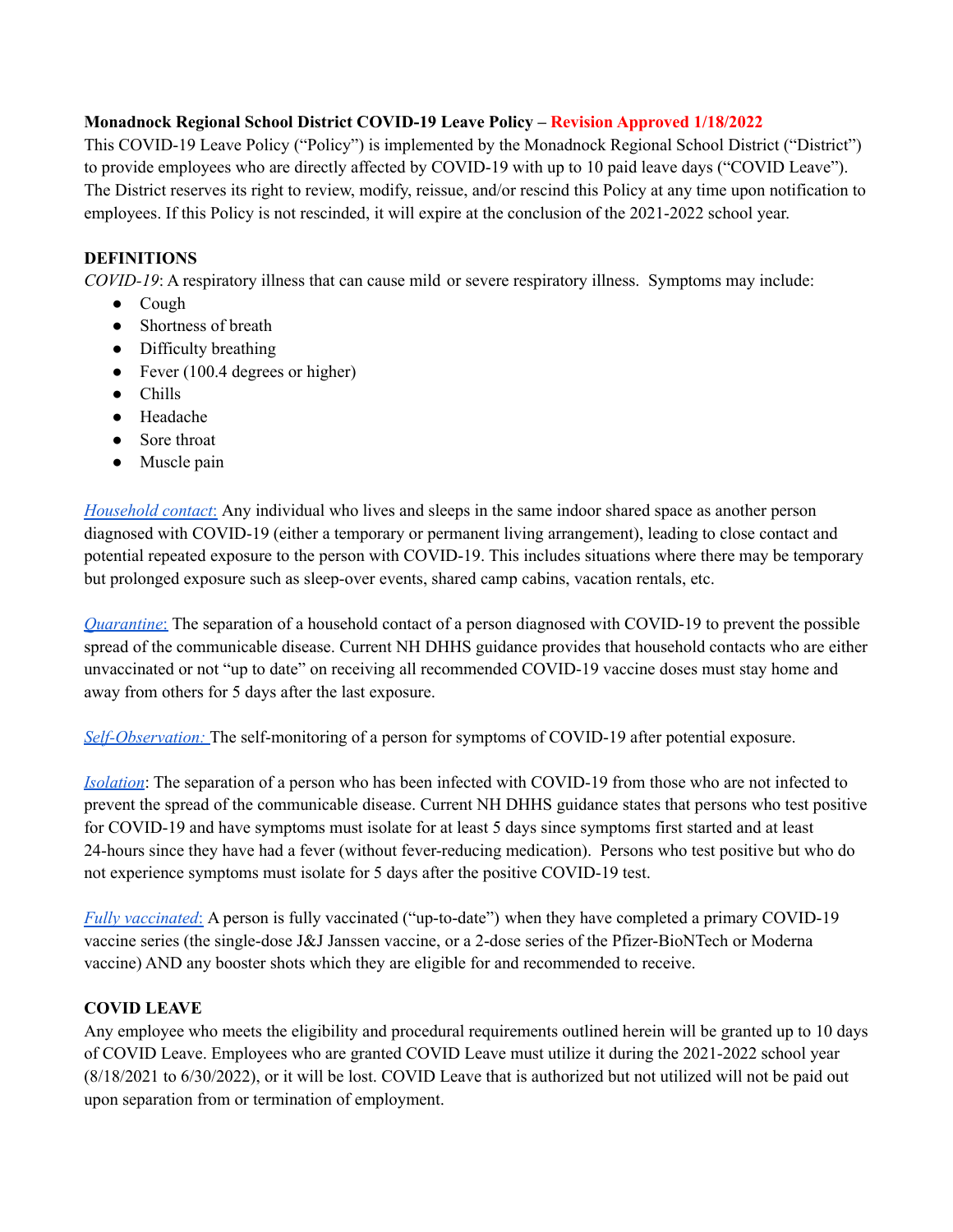# **Monadnock Regional School District COVID-19 Leave Policy – Revision Approved 1/18/2022**

This COVID-19 Leave Policy ("Policy") is implemented by the Monadnock Regional School District ("District") to provide employees who are directly affected by COVID-19 with up to 10 paid leave days ("COVID Leave"). The District reserves its right to review, modify, reissue, and/or rescind this Policy at any time upon notification to employees. If this Policy is not rescinded, it will expire at the conclusion of the 2021-2022 school year.

# **DEFINITIONS**

*COVID-19*: A respiratory illness that can cause mild or severe respiratory illness. Symptoms may include:

- Cough
- Shortness of breath
- Difficulty breathing
- Fever (100.4 degrees or higher)
- Chills
- Headache
- Sore throat
- Muscle pain

*[Household](https://www.covid19.nh.gov/sites/g/files/ehbemt481/files/inline-documents/sonh/isolation-and-quarantine-recommendations_0.pdf) contact*: Any individual who lives and sleeps in the same indoor shared space as another person diagnosed with COVID-19 (either a temporary or permanent living arrangement), leading to close contact and potential repeated exposure to the person with COVID-19. This includes situations where there may be temporary but prolonged exposure such as sleep-over events, shared camp cabins, vacation rentals, etc.

*[Quarantine](https://www.covid19.nh.gov/sites/g/files/ehbemt481/files/inline-documents/sonh/isolation-and-quarantine-recommendations_0.pdf)*: The separation of a household contact of a person diagnosed with COVID-19 to prevent the possible spread of the communicable disease. Current NH DHHS guidance provides that household contacts who are either unvaccinated or not "up to date" on receiving all recommended COVID-19 vaccine doses must stay home and away from others for 5 days after the last exposure.

*[Self-Observation:](https://www.covid19.nh.gov/sites/g/files/ehbemt481/files/inline-documents/sonh/isolation-and-quarantine-recommendations_0.pdf)* The self-monitoring of a person for symptoms of COVID-19 after potential exposure.

*[Isolation](https://www.covid19.nh.gov/sites/g/files/ehbemt481/files/inline-documents/sonh/isolation-and-quarantine-recommendations_0.pdf)*: The separation of a person who has been infected with COVID-19 from those who are not infected to prevent the spread of the communicable disease. Current NH DHHS guidance states that persons who test positive for COVID-19 and have symptoms must isolate for at least 5 days since symptoms first started and at least 24-hours since they have had a fever (without fever-reducing medication). Persons who test positive but who do not experience symptoms must isolate for 5 days after the positive COVID-19 test.

*Fully [vaccinated](https://www.covid19.nh.gov/sites/g/files/ehbemt481/files/inline-documents/sonh/isolation-and-quarantine-recommendations_0.pdf)*: A person is fully vaccinated ("up-to-date") when they have completed a primary COVID-19 vaccine series (the single-dose J&J Janssen vaccine, or a 2-dose series of the Pfizer-BioNTech or Moderna vaccine) AND any booster shots which they are eligible for and recommended to receive.

# **COVID LEAVE**

Any employee who meets the eligibility and procedural requirements outlined herein will be granted up to 10 days of COVID Leave. Employees who are granted COVID Leave must utilize it during the 2021-2022 school year (8/18/2021 to 6/30/2022), or it will be lost. COVID Leave that is authorized but not utilized will not be paid out upon separation from or termination of employment.